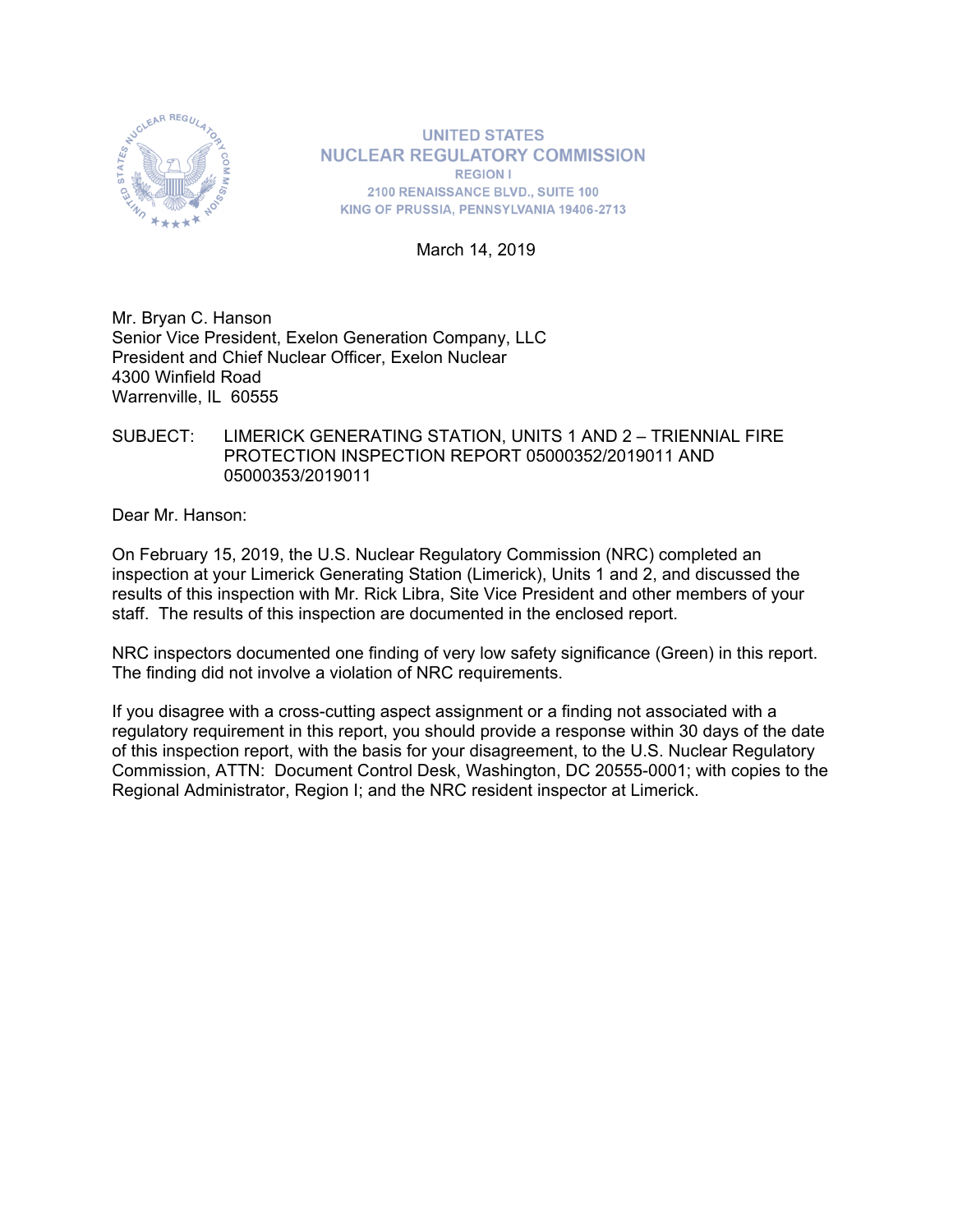

**UNITED STATES NUCLEAR REGULATORY COMMISSION REGION I** 2100 RENAISSANCE BLVD., SUITE 100 KING OF PRUSSIA, PENNSYLVANIA 19406-2713

March 14, 2019

Mr. Bryan C. Hanson Senior Vice President, Exelon Generation Company, LLC President and Chief Nuclear Officer, Exelon Nuclear 4300 Winfield Road Warrenville, IL 60555

### SUBJECT: LIMERICK GENERATING STATION, UNITS 1 AND 2 – TRIENNIAL FIRE PROTECTION INSPECTION REPORT 05000352/2019011 AND 05000353/2019011

Dear Mr. Hanson:

On February 15, 2019, the U.S. Nuclear Regulatory Commission (NRC) completed an inspection at your Limerick Generating Station (Limerick), Units 1 and 2, and discussed the results of this inspection with Mr. Rick Libra, Site Vice President and other members of your staff. The results of this inspection are documented in the enclosed report.

NRC inspectors documented one finding of very low safety significance (Green) in this report. The finding did not involve a violation of NRC requirements.

If you disagree with a cross-cutting aspect assignment or a finding not associated with a regulatory requirement in this report, you should provide a response within 30 days of the date of this inspection report, with the basis for your disagreement, to the U.S. Nuclear Regulatory Commission, ATTN: Document Control Desk, Washington, DC 20555-0001; with copies to the Regional Administrator, Region I; and the NRC resident inspector at Limerick.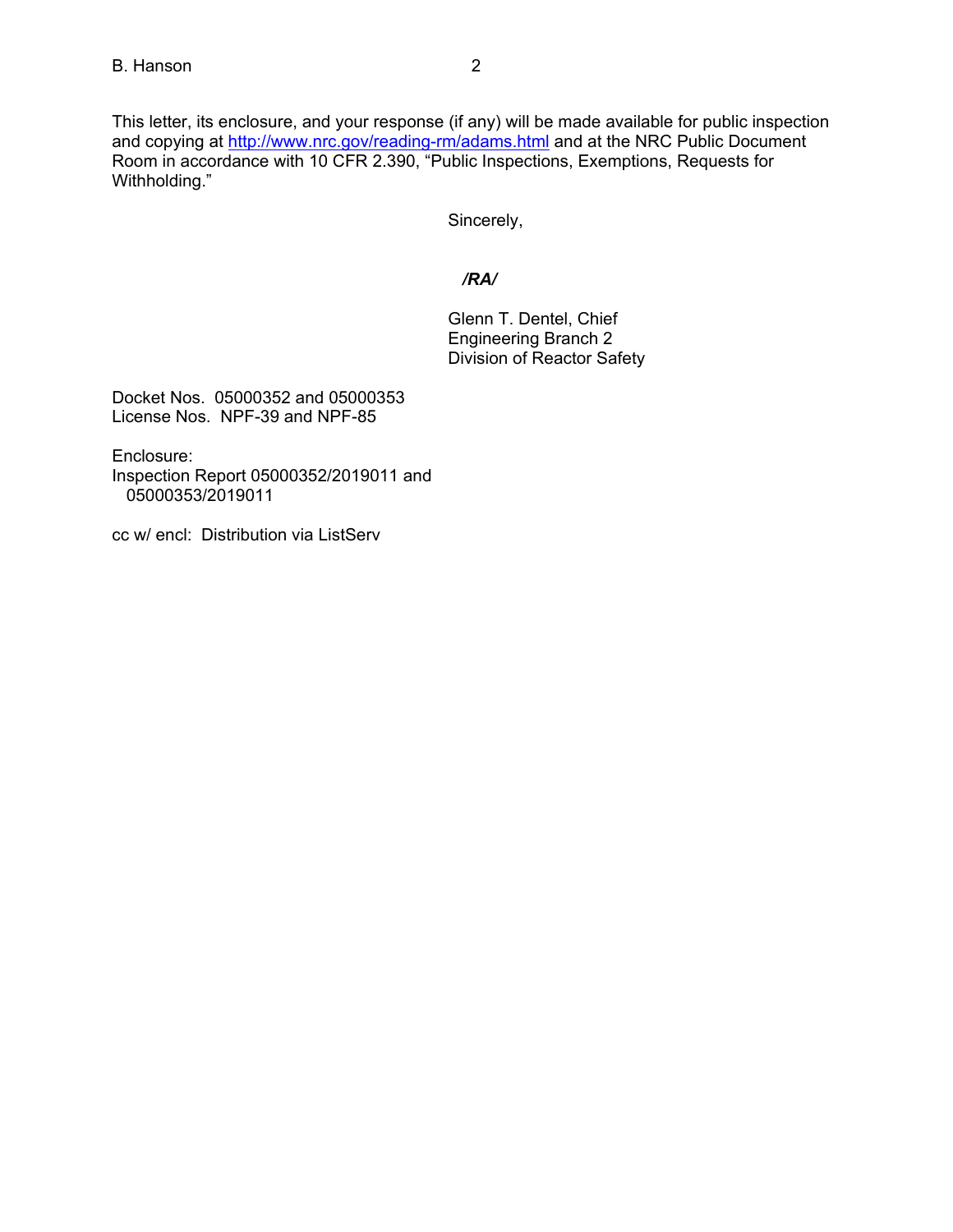This letter, its enclosure, and your response (if any) will be made available for public inspection and copying at http://www.nrc.gov/reading-rm/adams.html and at the NRC Public Document Room in accordance with 10 CFR 2.390, "Public Inspections, Exemptions, Requests for Withholding."

Sincerely,

# */RA/*

Glenn T. Dentel, Chief Engineering Branch 2 Division of Reactor Safety

Docket Nos. 05000352 and 05000353 License Nos. NPF-39 and NPF-85

Enclosure:

Inspection Report 05000352/2019011 and 05000353/2019011

cc w/ encl: Distribution via ListServ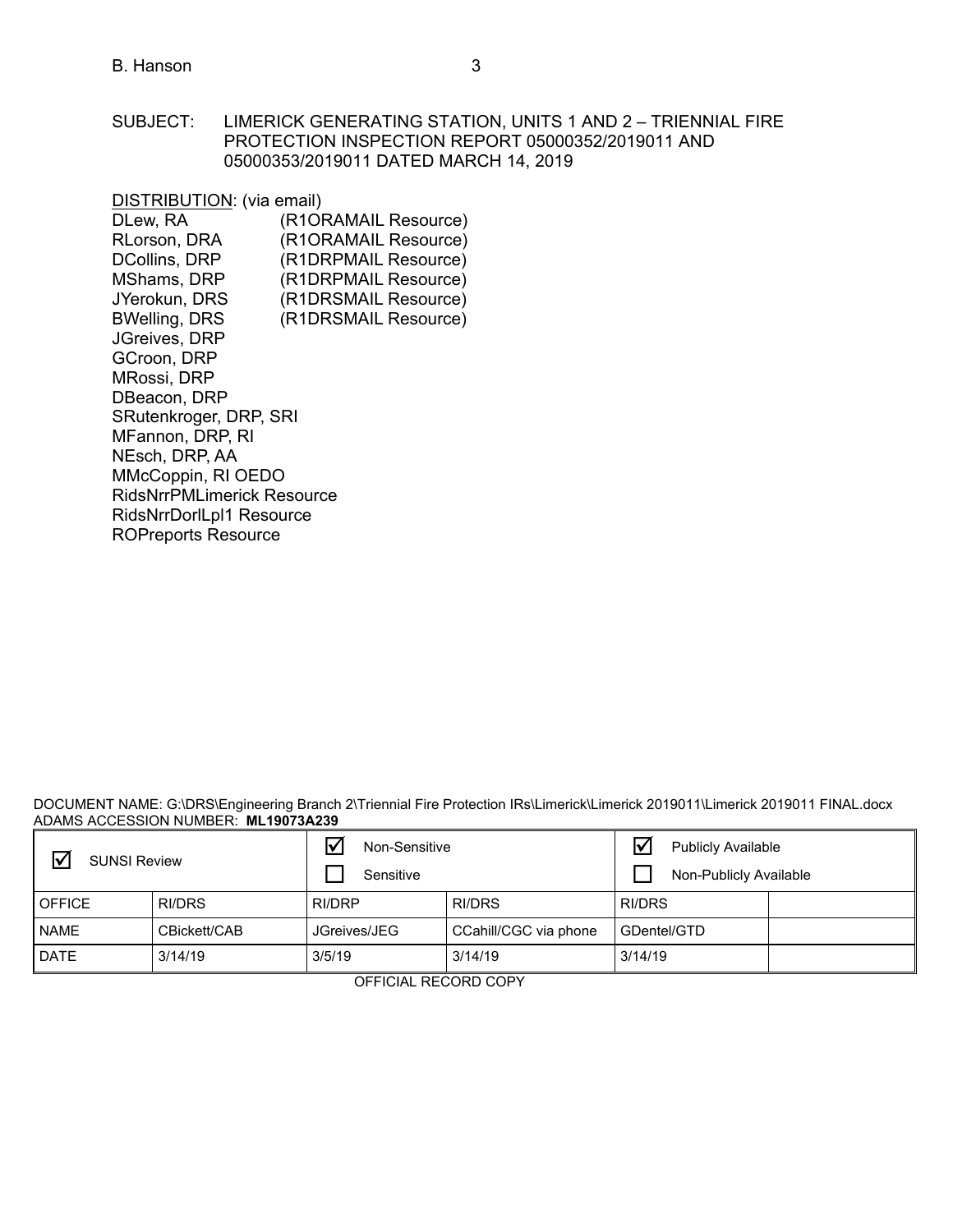#### SUBJECT: LIMERICK GENERATING STATION, UNITS 1 AND 2 – TRIENNIAL FIRE PROTECTION INSPECTION REPORT 05000352/2019011 AND 05000353/2019011 DATED MARCH 14, 2019

DISTRIBUTION: (via email) DLew, RA (R1ORAMAIL Resource) RLorson, DRA (R1ORAMAIL Resource) DCollins, DRP (R1DRPMAIL Resource) MShams, DRP (R1DRPMAIL Resource) JYerokun, DRS (R1DRSMAIL Resource) BWelling, DRS (R1DRSMAIL Resource) JGreives, DRP GCroon, DRP MRossi, DRP DBeacon, DRP SRutenkroger, DRP, SRI MFannon, DRP, RI NEsch, DRP, AA MMcCoppin, RI OEDO RidsNrrPMLimerick Resource RidsNrrDorlLpl1 Resource ROPreports Resource

DOCUMENT NAME: G:\DRS\Engineering Branch 2\Triennial Fire Protection IRs\Limerick\Limerick 2019011\Limerick 2019011 FINAL.docx ADAMS ACCESSION NUMBER: **ML19073A239**

| <b>SUNSI Review</b> |              | Non-Sensitive<br>Sensitive |                       | Ⅳ<br><b>Publicly Available</b><br>Non-Publicly Available |  |
|---------------------|--------------|----------------------------|-----------------------|----------------------------------------------------------|--|
| <b>OFFICE</b>       | RI/DRS       | RI/DRP                     | RI/DRS                | RI/DRS                                                   |  |
| <b>NAME</b>         | CBickett/CAB | JGreives/JEG               | CCahill/CGC via phone | GDentel/GTD                                              |  |
| <b>DATE</b>         | 3/14/19      | 3/5/19                     | 3/14/19               | 3/14/19                                                  |  |

OFFICIAL RECORD COPY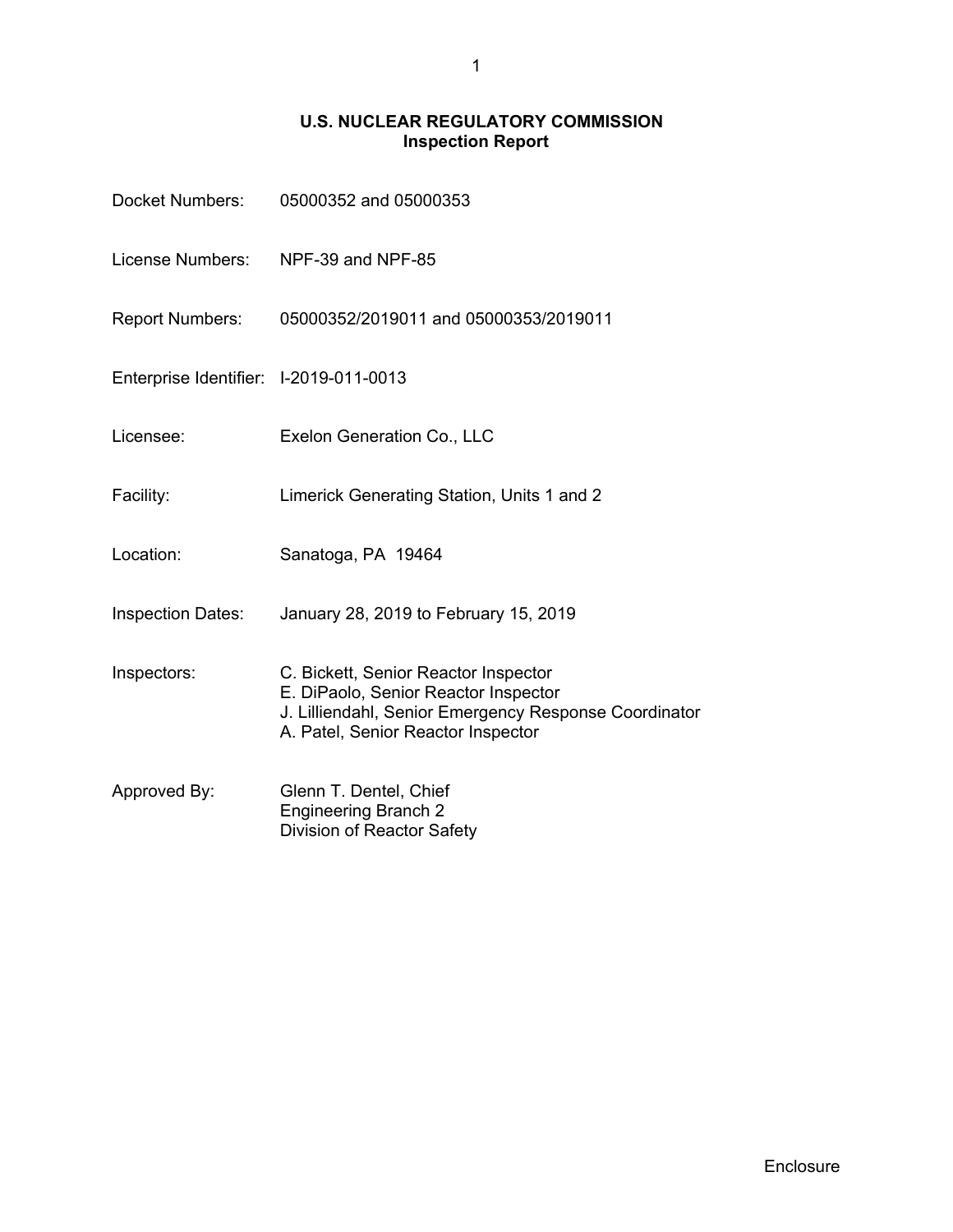# **U.S. NUCLEAR REGULATORY COMMISSION Inspection Report**

| Docket Numbers:                        | 05000352 and 05000353                                                                                                                                                       |
|----------------------------------------|-----------------------------------------------------------------------------------------------------------------------------------------------------------------------------|
| License Numbers:                       | NPF-39 and NPF-85                                                                                                                                                           |
| <b>Report Numbers:</b>                 | 05000352/2019011 and 05000353/2019011                                                                                                                                       |
| Enterprise Identifier: I-2019-011-0013 |                                                                                                                                                                             |
| Licensee:                              | Exelon Generation Co., LLC                                                                                                                                                  |
| Facility:                              | Limerick Generating Station, Units 1 and 2                                                                                                                                  |
| Location:                              | Sanatoga, PA 19464                                                                                                                                                          |
| <b>Inspection Dates:</b>               | January 28, 2019 to February 15, 2019                                                                                                                                       |
| Inspectors:                            | C. Bickett, Senior Reactor Inspector<br>E. DiPaolo, Senior Reactor Inspector<br>J. Lilliendahl, Senior Emergency Response Coordinator<br>A. Patel, Senior Reactor Inspector |
| Approved By:                           | Glenn T. Dentel, Chief<br><b>Engineering Branch 2</b><br>Division of Reactor Safety                                                                                         |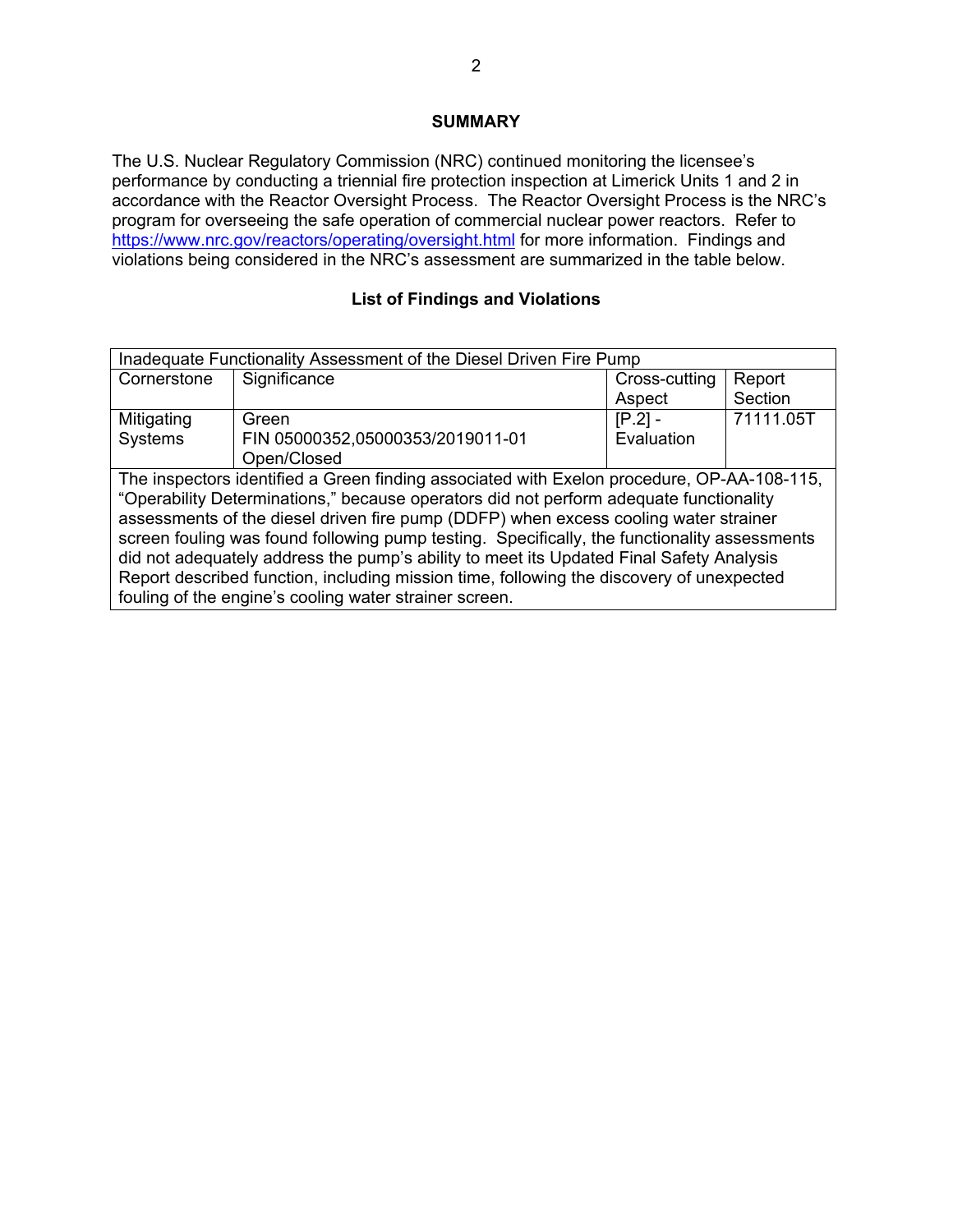# **SUMMARY**

The U.S. Nuclear Regulatory Commission (NRC) continued monitoring the licensee's performance by conducting a triennial fire protection inspection at Limerick Units 1 and 2 in accordance with the Reactor Oversight Process. The Reactor Oversight Process is the NRC's program for overseeing the safe operation of commercial nuclear power reactors. Refer to https://www.nrc.gov/reactors/operating/oversight.html for more information. Findings and violations being considered in the NRC's assessment are summarized in the table below.

# **List of Findings and Violations**

| Inadequate Functionality Assessment of the Diesel Driven Fire Pump                           |                                  |               |           |
|----------------------------------------------------------------------------------------------|----------------------------------|---------------|-----------|
| Cornerstone                                                                                  | Significance                     | Cross-cutting | Report    |
|                                                                                              |                                  | Aspect        | Section   |
| Mitigating                                                                                   | Green                            | $[P.2] -$     | 71111.05T |
| <b>Systems</b>                                                                               | FIN 05000352,05000353/2019011-01 | Evaluation    |           |
|                                                                                              | Open/Closed                      |               |           |
| The inspectors identified a Green finding associated with Exelon procedure, OP-AA-108-115,   |                                  |               |           |
| "Operability Determinations," because operators did not perform adequate functionality       |                                  |               |           |
| assessments of the diesel driven fire pump (DDFP) when excess cooling water strainer         |                                  |               |           |
| screen fouling was found following pump testing. Specifically, the functionality assessments |                                  |               |           |
| did not adequately address the pump's ability to meet its Updated Final Safety Analysis      |                                  |               |           |
| Report described function, including mission time, following the discovery of unexpected     |                                  |               |           |
| fouling of the engine's cooling water strainer screen.                                       |                                  |               |           |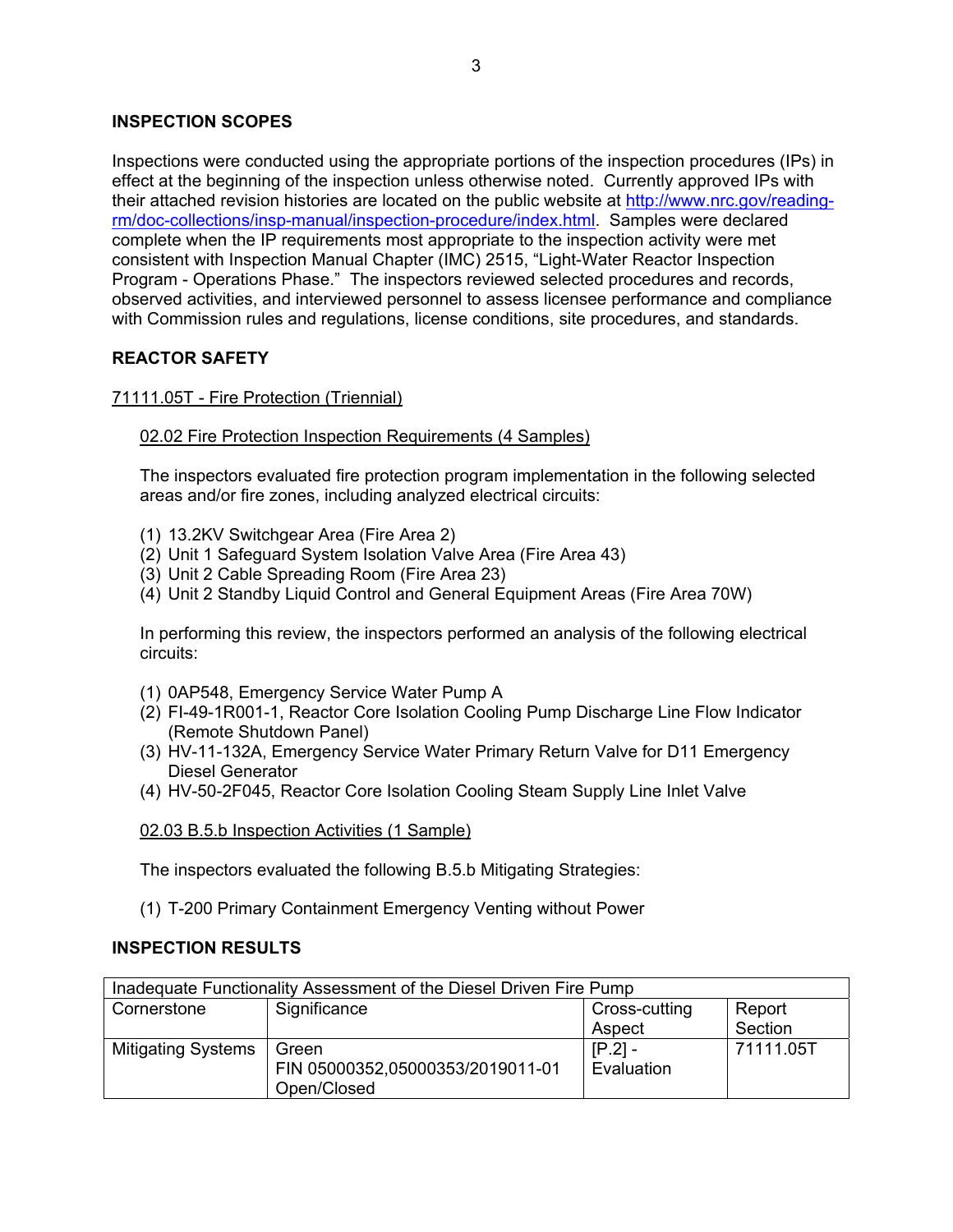## **INSPECTION SCOPES**

Inspections were conducted using the appropriate portions of the inspection procedures (IPs) in effect at the beginning of the inspection unless otherwise noted. Currently approved IPs with their attached revision histories are located on the public website at http://www.nrc.gov/readingrm/doc-collections/insp-manual/inspection-procedure/index.html. Samples were declared complete when the IP requirements most appropriate to the inspection activity were met consistent with Inspection Manual Chapter (IMC) 2515, "Light-Water Reactor Inspection Program - Operations Phase." The inspectors reviewed selected procedures and records, observed activities, and interviewed personnel to assess licensee performance and compliance with Commission rules and regulations, license conditions, site procedures, and standards.

## **REACTOR SAFETY**

## 71111.05T - Fire Protection (Triennial)

### 02.02 Fire Protection Inspection Requirements (4 Samples)

The inspectors evaluated fire protection program implementation in the following selected areas and/or fire zones, including analyzed electrical circuits:

- (1) 13.2KV Switchgear Area (Fire Area 2)
- (2) Unit 1 Safeguard System Isolation Valve Area (Fire Area 43)
- (3) Unit 2 Cable Spreading Room (Fire Area 23)
- (4) Unit 2 Standby Liquid Control and General Equipment Areas (Fire Area 70W)

In performing this review, the inspectors performed an analysis of the following electrical circuits:

- (1) 0AP548, Emergency Service Water Pump A
- (2) FI-49-1R001-1, Reactor Core Isolation Cooling Pump Discharge Line Flow Indicator (Remote Shutdown Panel)
- (3) HV-11-132A, Emergency Service Water Primary Return Valve for D11 Emergency Diesel Generator
- (4) HV-50-2F045, Reactor Core Isolation Cooling Steam Supply Line Inlet Valve

#### 02.03 B.5.b Inspection Activities (1 Sample)

The inspectors evaluated the following B.5.b Mitigating Strategies:

(1) T-200 Primary Containment Emergency Venting without Power

#### **INSPECTION RESULTS**

| Inadequate Functionality Assessment of the Diesel Driven Fire Pump |                                  |               |           |
|--------------------------------------------------------------------|----------------------------------|---------------|-----------|
| Cornerstone                                                        | Significance                     | Cross-cutting | Report    |
|                                                                    |                                  | Aspect        | Section   |
| <b>Mitigating Systems</b>                                          | Green                            | $[P.2]$ -     | 71111.05T |
|                                                                    | FIN 05000352,05000353/2019011-01 | Evaluation    |           |
|                                                                    | Open/Closed                      |               |           |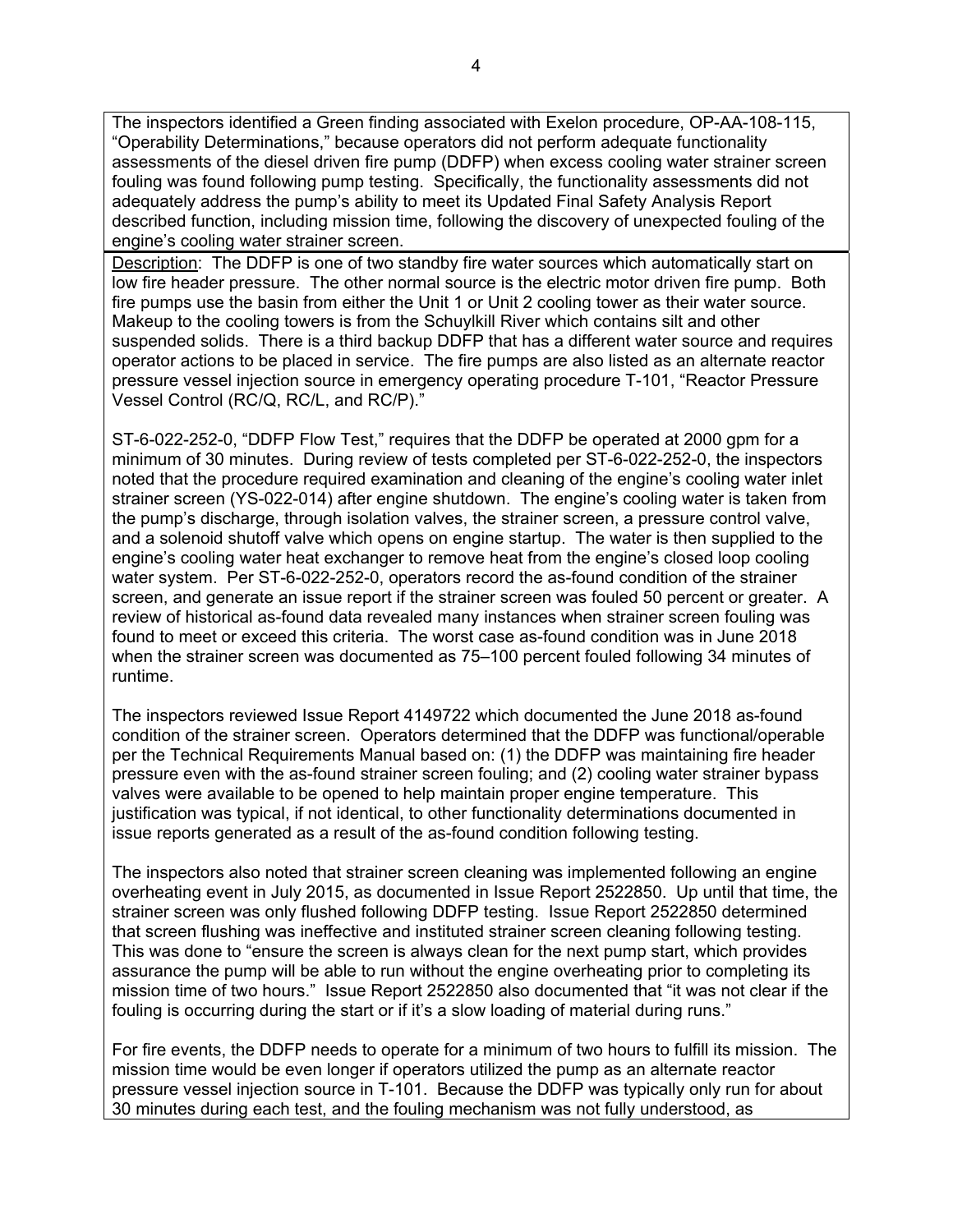The inspectors identified a Green finding associated with Exelon procedure, OP-AA-108-115, "Operability Determinations," because operators did not perform adequate functionality assessments of the diesel driven fire pump (DDFP) when excess cooling water strainer screen fouling was found following pump testing. Specifically, the functionality assessments did not adequately address the pump's ability to meet its Updated Final Safety Analysis Report described function, including mission time, following the discovery of unexpected fouling of the engine's cooling water strainer screen.

Description: The DDFP is one of two standby fire water sources which automatically start on low fire header pressure. The other normal source is the electric motor driven fire pump. Both fire pumps use the basin from either the Unit 1 or Unit 2 cooling tower as their water source. Makeup to the cooling towers is from the Schuylkill River which contains silt and other suspended solids. There is a third backup DDFP that has a different water source and requires operator actions to be placed in service. The fire pumps are also listed as an alternate reactor pressure vessel injection source in emergency operating procedure T-101, "Reactor Pressure Vessel Control (RC/Q, RC/L, and RC/P)."

ST-6-022-252-0, "DDFP Flow Test," requires that the DDFP be operated at 2000 gpm for a minimum of 30 minutes. During review of tests completed per ST-6-022-252-0, the inspectors noted that the procedure required examination and cleaning of the engine's cooling water inlet strainer screen (YS-022-014) after engine shutdown. The engine's cooling water is taken from the pump's discharge, through isolation valves, the strainer screen, a pressure control valve, and a solenoid shutoff valve which opens on engine startup. The water is then supplied to the engine's cooling water heat exchanger to remove heat from the engine's closed loop cooling water system. Per ST-6-022-252-0, operators record the as-found condition of the strainer screen, and generate an issue report if the strainer screen was fouled 50 percent or greater. A review of historical as-found data revealed many instances when strainer screen fouling was found to meet or exceed this criteria. The worst case as-found condition was in June 2018 when the strainer screen was documented as 75–100 percent fouled following 34 minutes of runtime.

The inspectors reviewed Issue Report 4149722 which documented the June 2018 as-found condition of the strainer screen. Operators determined that the DDFP was functional/operable per the Technical Requirements Manual based on: (1) the DDFP was maintaining fire header pressure even with the as-found strainer screen fouling; and (2) cooling water strainer bypass valves were available to be opened to help maintain proper engine temperature. This justification was typical, if not identical, to other functionality determinations documented in issue reports generated as a result of the as-found condition following testing.

The inspectors also noted that strainer screen cleaning was implemented following an engine overheating event in July 2015, as documented in Issue Report 2522850. Up until that time, the strainer screen was only flushed following DDFP testing. Issue Report 2522850 determined that screen flushing was ineffective and instituted strainer screen cleaning following testing. This was done to "ensure the screen is always clean for the next pump start, which provides assurance the pump will be able to run without the engine overheating prior to completing its mission time of two hours." Issue Report 2522850 also documented that "it was not clear if the fouling is occurring during the start or if it's a slow loading of material during runs."

For fire events, the DDFP needs to operate for a minimum of two hours to fulfill its mission. The mission time would be even longer if operators utilized the pump as an alternate reactor pressure vessel injection source in T-101. Because the DDFP was typically only run for about 30 minutes during each test, and the fouling mechanism was not fully understood, as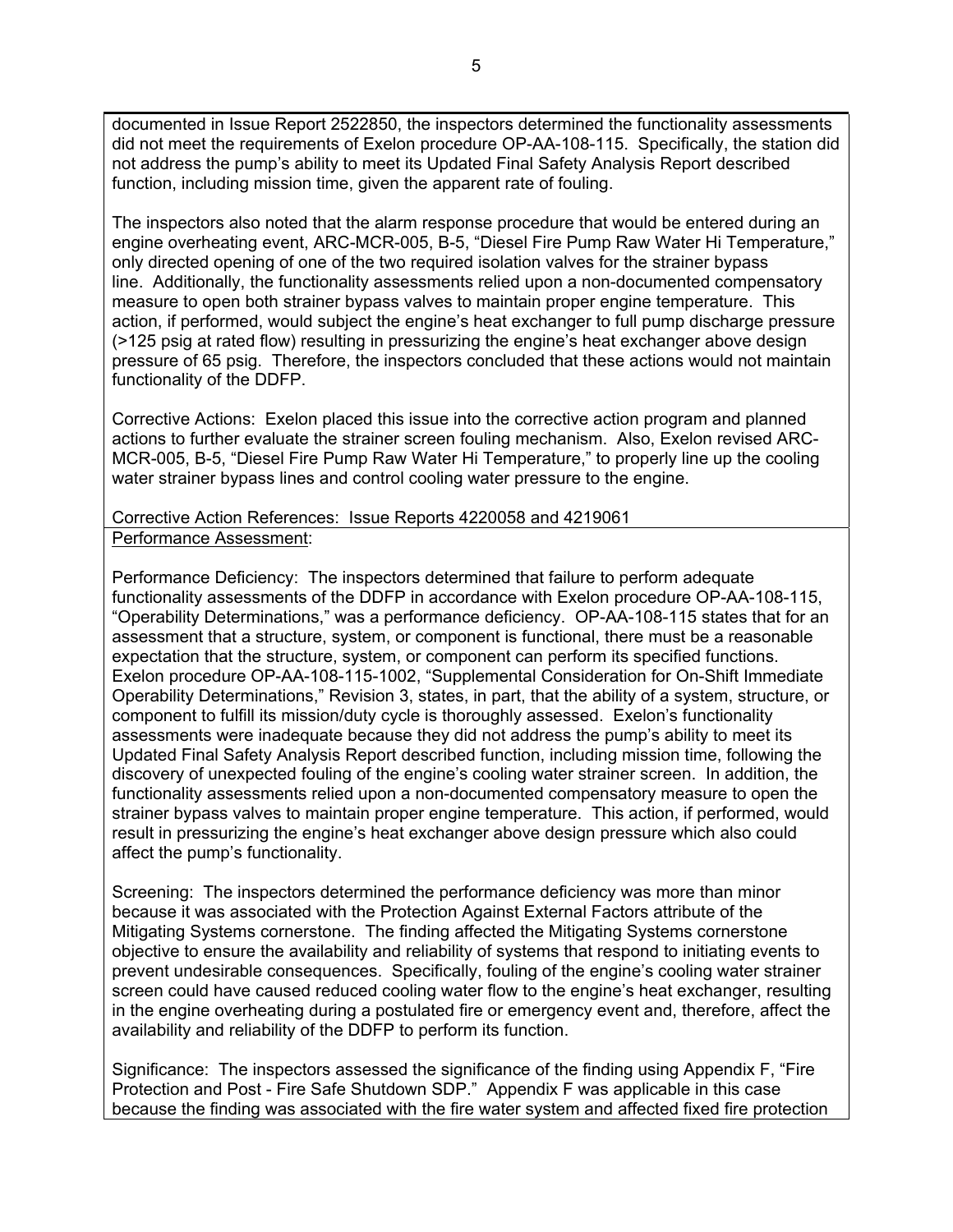documented in Issue Report 2522850, the inspectors determined the functionality assessments did not meet the requirements of Exelon procedure OP-AA-108-115. Specifically, the station did not address the pump's ability to meet its Updated Final Safety Analysis Report described function, including mission time, given the apparent rate of fouling.

The inspectors also noted that the alarm response procedure that would be entered during an engine overheating event, ARC-MCR-005, B-5, "Diesel Fire Pump Raw Water Hi Temperature," only directed opening of one of the two required isolation valves for the strainer bypass line. Additionally, the functionality assessments relied upon a non-documented compensatory measure to open both strainer bypass valves to maintain proper engine temperature. This action, if performed, would subject the engine's heat exchanger to full pump discharge pressure (>125 psig at rated flow) resulting in pressurizing the engine's heat exchanger above design pressure of 65 psig. Therefore, the inspectors concluded that these actions would not maintain functionality of the DDFP.

Corrective Actions: Exelon placed this issue into the corrective action program and planned actions to further evaluate the strainer screen fouling mechanism. Also, Exelon revised ARC-MCR-005, B-5, "Diesel Fire Pump Raw Water Hi Temperature," to properly line up the cooling water strainer bypass lines and control cooling water pressure to the engine.

### Corrective Action References: Issue Reports 4220058 and 4219061 Performance Assessment:

Performance Deficiency: The inspectors determined that failure to perform adequate functionality assessments of the DDFP in accordance with Exelon procedure OP-AA-108-115, "Operability Determinations," was a performance deficiency. OP-AA-108-115 states that for an assessment that a structure, system, or component is functional, there must be a reasonable expectation that the structure, system, or component can perform its specified functions. Exelon procedure OP-AA-108-115-1002, "Supplemental Consideration for On-Shift Immediate Operability Determinations," Revision 3, states, in part, that the ability of a system, structure, or component to fulfill its mission/duty cycle is thoroughly assessed. Exelon's functionality assessments were inadequate because they did not address the pump's ability to meet its Updated Final Safety Analysis Report described function, including mission time, following the discovery of unexpected fouling of the engine's cooling water strainer screen. In addition, the functionality assessments relied upon a non-documented compensatory measure to open the strainer bypass valves to maintain proper engine temperature. This action, if performed, would result in pressurizing the engine's heat exchanger above design pressure which also could affect the pump's functionality.

Screening: The inspectors determined the performance deficiency was more than minor because it was associated with the Protection Against External Factors attribute of the Mitigating Systems cornerstone. The finding affected the Mitigating Systems cornerstone objective to ensure the availability and reliability of systems that respond to initiating events to prevent undesirable consequences. Specifically, fouling of the engine's cooling water strainer screen could have caused reduced cooling water flow to the engine's heat exchanger, resulting in the engine overheating during a postulated fire or emergency event and, therefore, affect the availability and reliability of the DDFP to perform its function.

Significance: The inspectors assessed the significance of the finding using Appendix F, "Fire Protection and Post - Fire Safe Shutdown SDP." Appendix F was applicable in this case because the finding was associated with the fire water system and affected fixed fire protection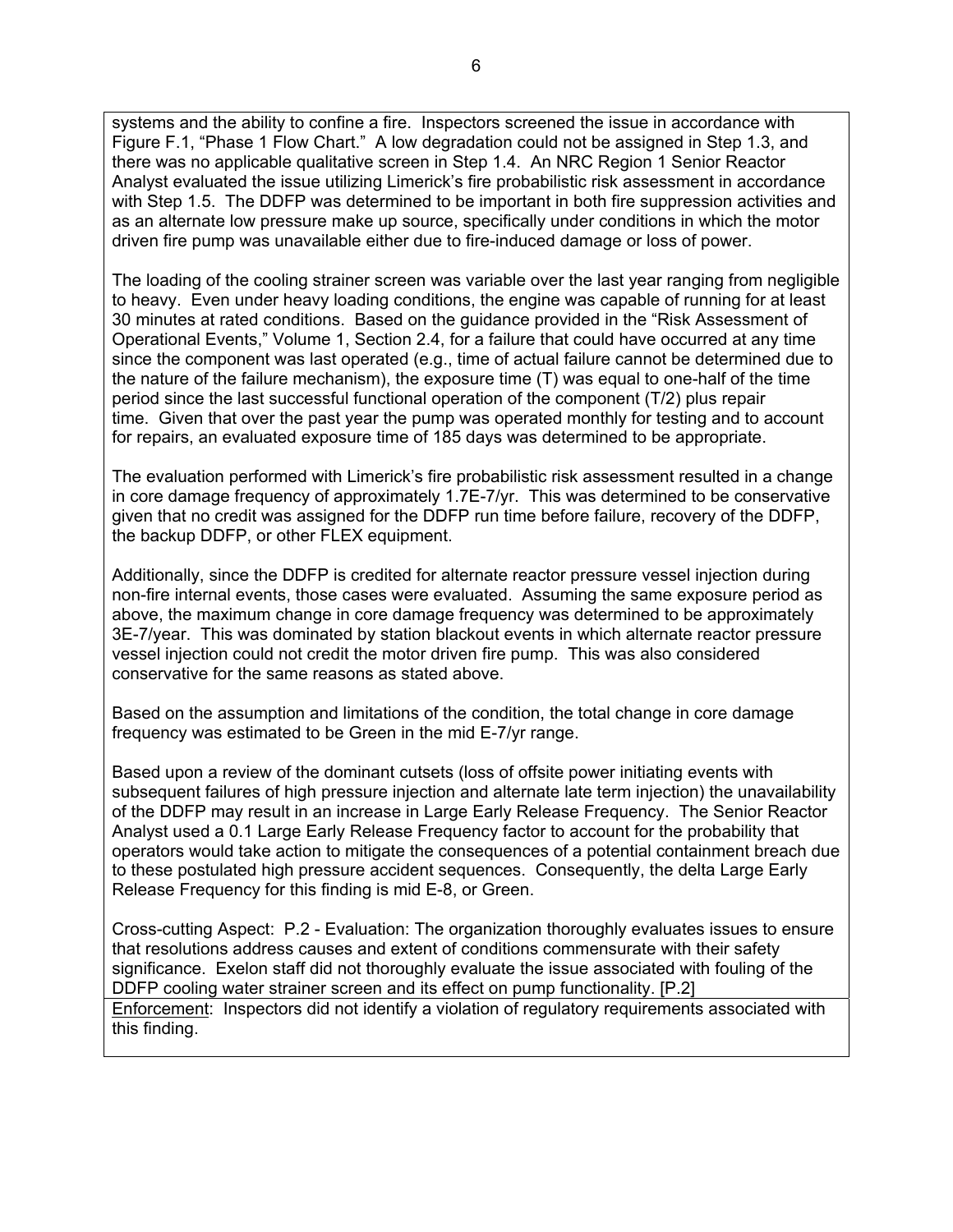systems and the ability to confine a fire. Inspectors screened the issue in accordance with Figure F.1, "Phase 1 Flow Chart." A low degradation could not be assigned in Step 1.3, and there was no applicable qualitative screen in Step 1.4. An NRC Region 1 Senior Reactor Analyst evaluated the issue utilizing Limerick's fire probabilistic risk assessment in accordance with Step 1.5. The DDFP was determined to be important in both fire suppression activities and as an alternate low pressure make up source, specifically under conditions in which the motor driven fire pump was unavailable either due to fire-induced damage or loss of power.

The loading of the cooling strainer screen was variable over the last year ranging from negligible to heavy. Even under heavy loading conditions, the engine was capable of running for at least 30 minutes at rated conditions. Based on the guidance provided in the "Risk Assessment of Operational Events," Volume 1, Section 2.4, for a failure that could have occurred at any time since the component was last operated (e.g., time of actual failure cannot be determined due to the nature of the failure mechanism), the exposure time (T) was equal to one-half of the time period since the last successful functional operation of the component (T/2) plus repair time. Given that over the past year the pump was operated monthly for testing and to account for repairs, an evaluated exposure time of 185 days was determined to be appropriate.

The evaluation performed with Limerick's fire probabilistic risk assessment resulted in a change in core damage frequency of approximately 1.7E-7/yr. This was determined to be conservative given that no credit was assigned for the DDFP run time before failure, recovery of the DDFP, the backup DDFP, or other FLEX equipment.

Additionally, since the DDFP is credited for alternate reactor pressure vessel injection during non-fire internal events, those cases were evaluated. Assuming the same exposure period as above, the maximum change in core damage frequency was determined to be approximately 3E-7/year. This was dominated by station blackout events in which alternate reactor pressure vessel injection could not credit the motor driven fire pump. This was also considered conservative for the same reasons as stated above.

Based on the assumption and limitations of the condition, the total change in core damage frequency was estimated to be Green in the mid E-7/yr range.

Based upon a review of the dominant cutsets (loss of offsite power initiating events with subsequent failures of high pressure injection and alternate late term injection) the unavailability of the DDFP may result in an increase in Large Early Release Frequency. The Senior Reactor Analyst used a 0.1 Large Early Release Frequency factor to account for the probability that operators would take action to mitigate the consequences of a potential containment breach due to these postulated high pressure accident sequences. Consequently, the delta Large Early Release Frequency for this finding is mid E-8, or Green.

Cross-cutting Aspect: P.2 - Evaluation: The organization thoroughly evaluates issues to ensure that resolutions address causes and extent of conditions commensurate with their safety significance. Exelon staff did not thoroughly evaluate the issue associated with fouling of the DDFP cooling water strainer screen and its effect on pump functionality. [P.2]

Enforcement:Inspectors did not identify a violation of regulatory requirements associated with this finding.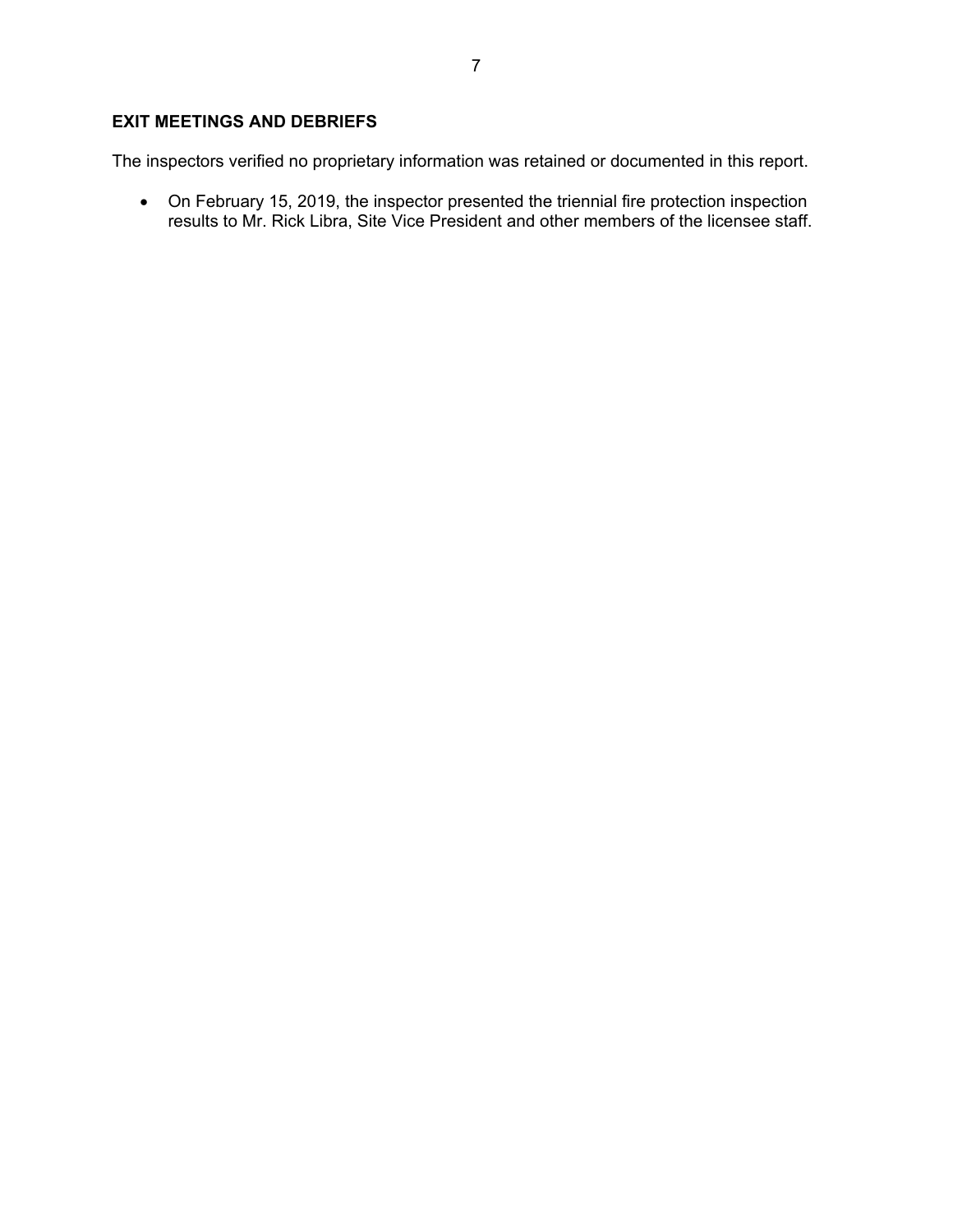# **EXIT MEETINGS AND DEBRIEFS**

The inspectors verified no proprietary information was retained or documented in this report.

 On February 15, 2019, the inspector presented the triennial fire protection inspection results to Mr. Rick Libra, Site Vice President and other members of the licensee staff.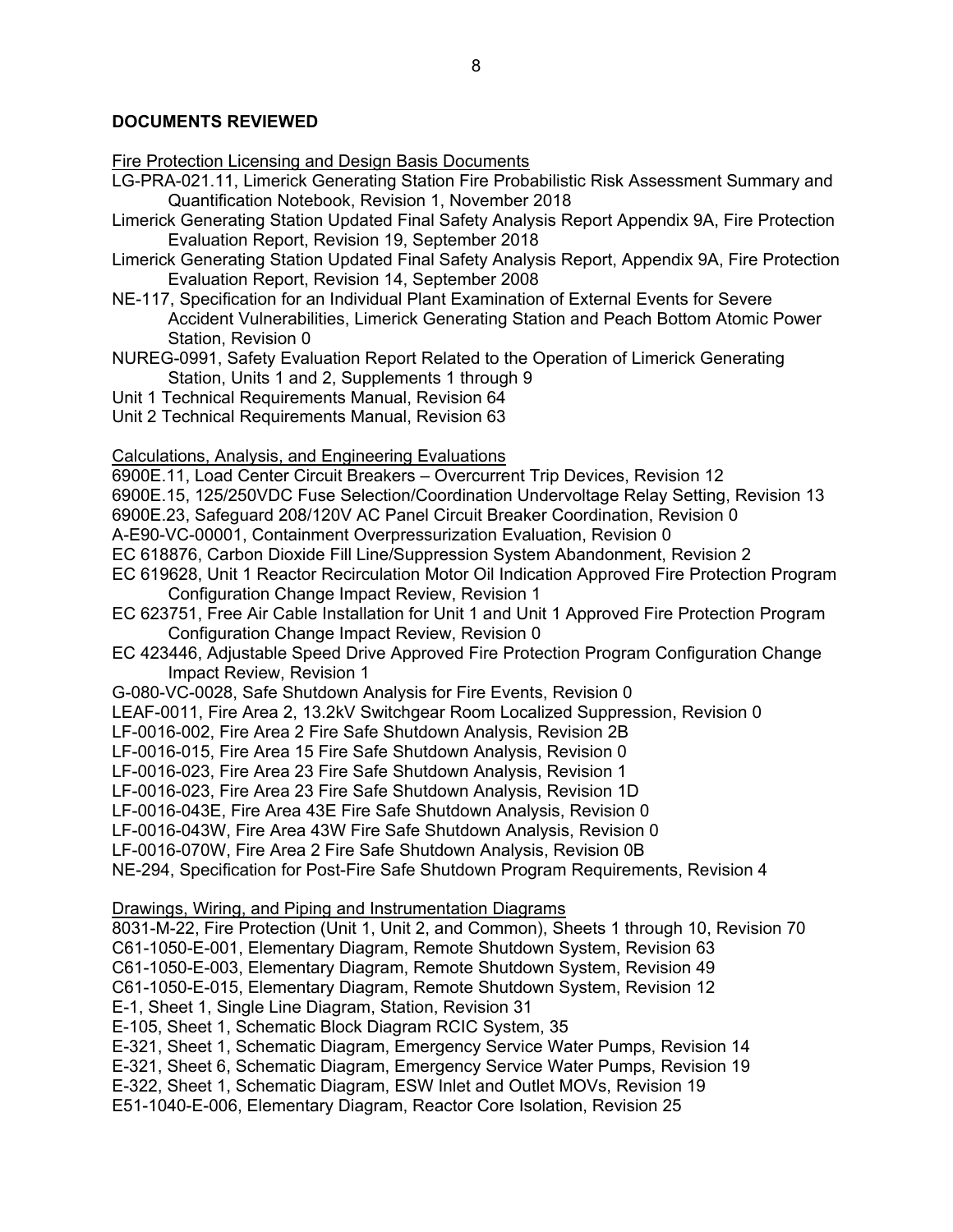## **DOCUMENTS REVIEWED**

Fire Protection Licensing and Design Basis Documents

- LG-PRA-021.11, Limerick Generating Station Fire Probabilistic Risk Assessment Summary and Quantification Notebook, Revision 1, November 2018
- Limerick Generating Station Updated Final Safety Analysis Report Appendix 9A, Fire Protection Evaluation Report, Revision 19, September 2018
- Limerick Generating Station Updated Final Safety Analysis Report, Appendix 9A, Fire Protection Evaluation Report, Revision 14, September 2008
- NE-117, Specification for an Individual Plant Examination of External Events for Severe Accident Vulnerabilities, Limerick Generating Station and Peach Bottom Atomic Power Station, Revision 0
- NUREG-0991, Safety Evaluation Report Related to the Operation of Limerick Generating Station, Units 1 and 2, Supplements 1 through 9
- Unit 1 Technical Requirements Manual, Revision 64
- Unit 2 Technical Requirements Manual, Revision 63

### Calculations, Analysis, and Engineering Evaluations

6900E.11, Load Center Circuit Breakers – Overcurrent Trip Devices, Revision 12 6900E.15, 125/250VDC Fuse Selection/Coordination Undervoltage Relay Setting, Revision 13

6900E.23, Safeguard 208/120V AC Panel Circuit Breaker Coordination, Revision 0

A-E90-VC-00001, Containment Overpressurization Evaluation, Revision 0

- EC 618876, Carbon Dioxide Fill Line/Suppression System Abandonment, Revision 2
- EC 619628, Unit 1 Reactor Recirculation Motor Oil Indication Approved Fire Protection Program Configuration Change Impact Review, Revision 1
- EC 623751, Free Air Cable Installation for Unit 1 and Unit 1 Approved Fire Protection Program Configuration Change Impact Review, Revision 0
- EC 423446, Adjustable Speed Drive Approved Fire Protection Program Configuration Change Impact Review, Revision 1
- G-080-VC-0028, Safe Shutdown Analysis for Fire Events, Revision 0
- LEAF-0011, Fire Area 2, 13.2kV Switchgear Room Localized Suppression, Revision 0
- LF-0016-002, Fire Area 2 Fire Safe Shutdown Analysis, Revision 2B
- LF-0016-015, Fire Area 15 Fire Safe Shutdown Analysis, Revision 0

LF-0016-023, Fire Area 23 Fire Safe Shutdown Analysis, Revision 1

LF-0016-023, Fire Area 23 Fire Safe Shutdown Analysis, Revision 1D

LF-0016-043E, Fire Area 43E Fire Safe Shutdown Analysis, Revision 0

LF-0016-043W, Fire Area 43W Fire Safe Shutdown Analysis, Revision 0

LF-0016-070W, Fire Area 2 Fire Safe Shutdown Analysis, Revision 0B

NE-294, Specification for Post-Fire Safe Shutdown Program Requirements, Revision 4

Drawings, Wiring, and Piping and Instrumentation Diagrams

8031-M-22, Fire Protection (Unit 1, Unit 2, and Common), Sheets 1 through 10, Revision 70 C61-1050-E-001, Elementary Diagram, Remote Shutdown System, Revision 63 C61-1050-E-003, Elementary Diagram, Remote Shutdown System, Revision 49 C61-1050-E-015, Elementary Diagram, Remote Shutdown System, Revision 12 E-1, Sheet 1, Single Line Diagram, Station, Revision 31 E-105, Sheet 1, Schematic Block Diagram RCIC System, 35 E-321, Sheet 1, Schematic Diagram, Emergency Service Water Pumps, Revision 14 E-321, Sheet 6, Schematic Diagram, Emergency Service Water Pumps, Revision 19 E-322, Sheet 1, Schematic Diagram, ESW Inlet and Outlet MOVs, Revision 19 E51-1040-E-006, Elementary Diagram, Reactor Core Isolation, Revision 25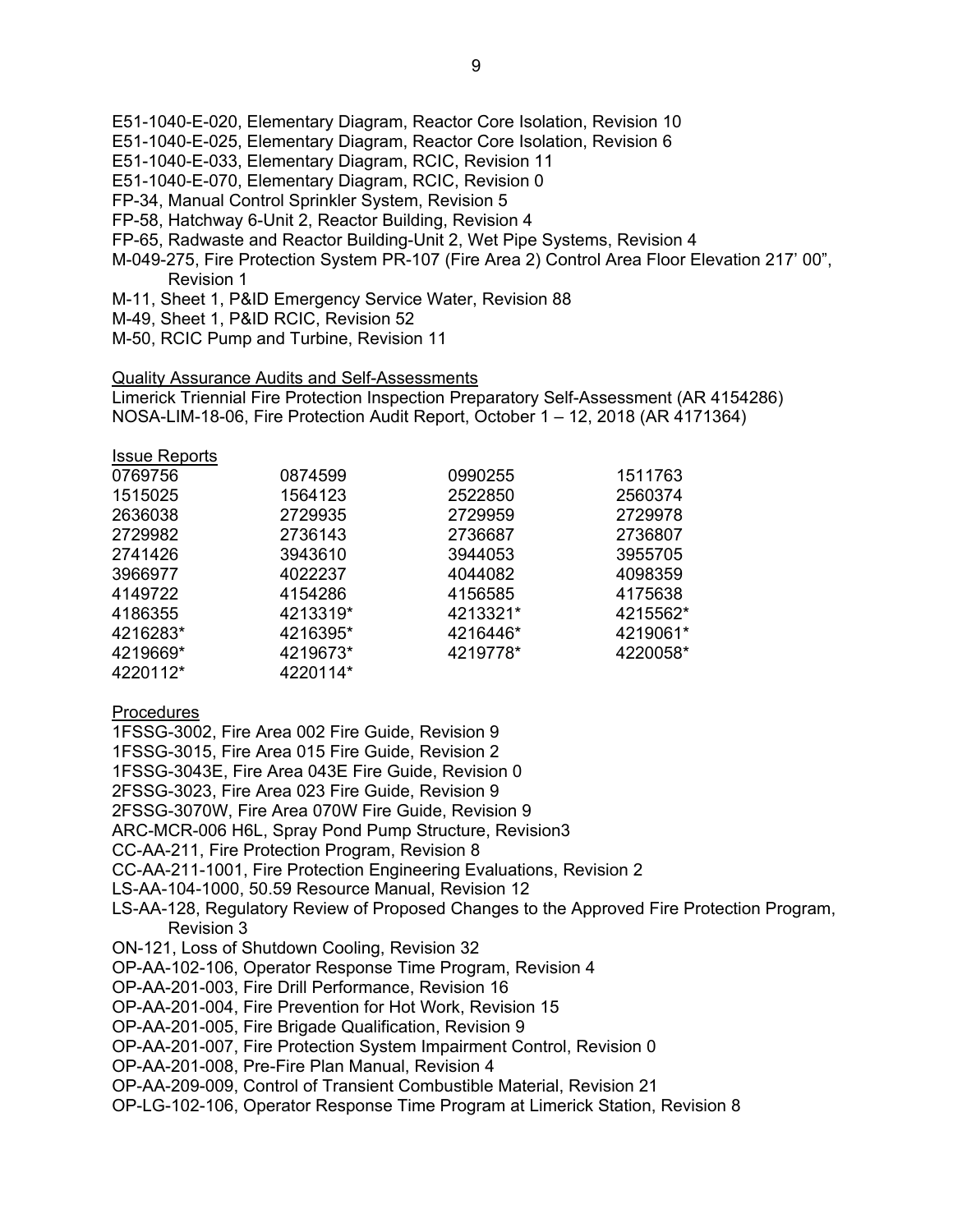- E51-1040-E-020, Elementary Diagram, Reactor Core Isolation, Revision 10
- E51-1040-E-025, Elementary Diagram, Reactor Core Isolation, Revision 6
- E51-1040-E-033, Elementary Diagram, RCIC, Revision 11
- E51-1040-E-070, Elementary Diagram, RCIC, Revision 0
- FP-34, Manual Control Sprinkler System, Revision 5
- FP-58, Hatchway 6-Unit 2, Reactor Building, Revision 4
- FP-65, Radwaste and Reactor Building-Unit 2, Wet Pipe Systems, Revision 4
- M-049-275, Fire Protection System PR-107 (Fire Area 2) Control Area Floor Elevation 217' 00", Revision 1
- M-11, Sheet 1, P&ID Emergency Service Water, Revision 88
- M-49, Sheet 1, P&ID RCIC, Revision 52
- M-50, RCIC Pump and Turbine, Revision 11

# Quality Assurance Audits and Self-Assessments

Limerick Triennial Fire Protection Inspection Preparatory Self-Assessment (AR 4154286) NOSA-LIM-18-06, Fire Protection Audit Report, October 1 – 12, 2018 (AR 4171364)

# Issue Reports

| 0769756  | 0874599  | 0990255  | 1511763  |
|----------|----------|----------|----------|
| 1515025  | 1564123  | 2522850  | 2560374  |
| 2636038  | 2729935  | 2729959  | 2729978  |
| 2729982  | 2736143  | 2736687  | 2736807  |
| 2741426  | 3943610  | 3944053  | 3955705  |
| 3966977  | 4022237  | 4044082  | 4098359  |
| 4149722  | 4154286  | 4156585  | 4175638  |
| 4186355  | 4213319* | 4213321* | 4215562* |
| 4216283* | 4216395* | 4216446* | 4219061* |
| 4219669* | 4219673* | 4219778* | 4220058* |
| 4220112* | 4220114* |          |          |
|          |          |          |          |

# **Procedures**

- 1FSSG-3002, Fire Area 002 Fire Guide, Revision 9
- 1FSSG-3015, Fire Area 015 Fire Guide, Revision 2
- 1FSSG-3043E, Fire Area 043E Fire Guide, Revision 0
- 2FSSG-3023, Fire Area 023 Fire Guide, Revision 9
- 2FSSG-3070W, Fire Area 070W Fire Guide, Revision 9
- ARC-MCR-006 H6L, Spray Pond Pump Structure, Revision3
- CC-AA-211, Fire Protection Program, Revision 8
- CC-AA-211-1001, Fire Protection Engineering Evaluations, Revision 2
- LS-AA-104-1000, 50.59 Resource Manual, Revision 12
- LS-AA-128, Regulatory Review of Proposed Changes to the Approved Fire Protection Program, Revision 3
- ON-121, Loss of Shutdown Cooling, Revision 32
- OP-AA-102-106, Operator Response Time Program, Revision 4
- OP-AA-201-003, Fire Drill Performance, Revision 16
- OP-AA-201-004, Fire Prevention for Hot Work, Revision 15
- OP-AA-201-005, Fire Brigade Qualification, Revision 9
- OP-AA-201-007, Fire Protection System Impairment Control, Revision 0
- OP-AA-201-008, Pre-Fire Plan Manual, Revision 4
- OP-AA-209-009, Control of Transient Combustible Material, Revision 21
- OP-LG-102-106, Operator Response Time Program at Limerick Station, Revision 8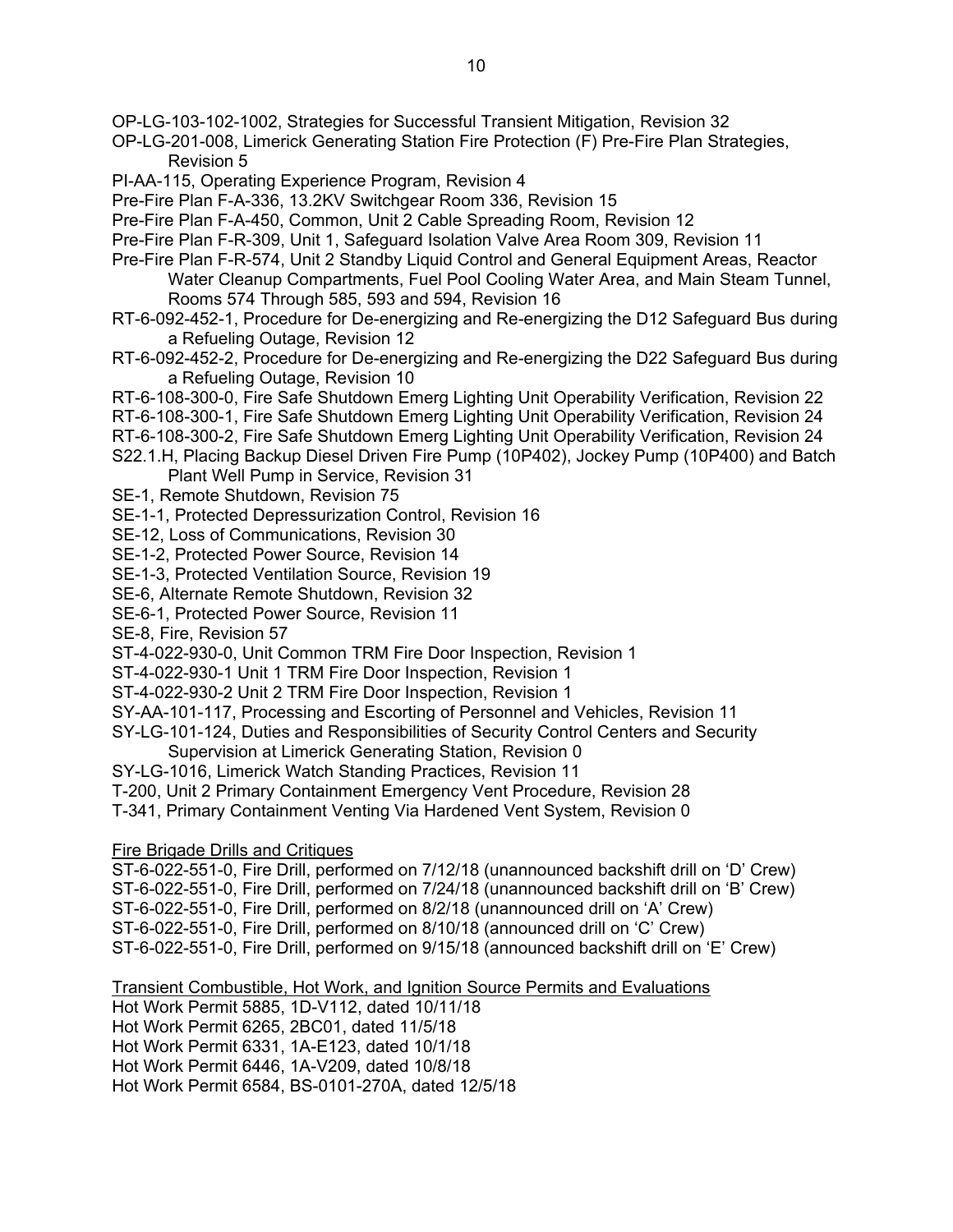OP-LG-103-102-1002, Strategies for Successful Transient Mitigation, Revision 32

OP-LG-201-008, Limerick Generating Station Fire Protection (F) Pre-Fire Plan Strategies, Revision 5

PI-AA-115, Operating Experience Program, Revision 4

Pre-Fire Plan F-A-336, 13.2KV Switchgear Room 336, Revision 15

Pre-Fire Plan F-A-450, Common, Unit 2 Cable Spreading Room, Revision 12

Pre-Fire Plan F-R-309, Unit 1, Safeguard Isolation Valve Area Room 309, Revision 11

- Pre-Fire Plan F-R-574, Unit 2 Standby Liquid Control and General Equipment Areas, Reactor Water Cleanup Compartments, Fuel Pool Cooling Water Area, and Main Steam Tunnel, Rooms 574 Through 585, 593 and 594, Revision 16
- RT-6-092-452-1, Procedure for De-energizing and Re-energizing the D12 Safeguard Bus during a Refueling Outage, Revision 12
- RT-6-092-452-2, Procedure for De-energizing and Re-energizing the D22 Safeguard Bus during a Refueling Outage, Revision 10
- RT-6-108-300-0, Fire Safe Shutdown Emerg Lighting Unit Operability Verification, Revision 22
- RT-6-108-300-1, Fire Safe Shutdown Emerg Lighting Unit Operability Verification, Revision 24
- RT-6-108-300-2, Fire Safe Shutdown Emerg Lighting Unit Operability Verification, Revision 24
- S22.1.H, Placing Backup Diesel Driven Fire Pump (10P402), Jockey Pump (10P400) and Batch Plant Well Pump in Service, Revision 31

SE-1, Remote Shutdown, Revision 75

- SE-1-1, Protected Depressurization Control, Revision 16
- SE-12, Loss of Communications, Revision 30
- SE-1-2, Protected Power Source, Revision 14
- SE-1-3, Protected Ventilation Source, Revision 19
- SE-6, Alternate Remote Shutdown, Revision 32
- SE-6-1, Protected Power Source, Revision 11

SE-8, Fire, Revision 57

- ST-4-022-930-0, Unit Common TRM Fire Door Inspection, Revision 1
- ST-4-022-930-1 Unit 1 TRM Fire Door Inspection, Revision 1
- ST-4-022-930-2 Unit 2 TRM Fire Door Inspection, Revision 1
- SY-AA-101-117, Processing and Escorting of Personnel and Vehicles, Revision 11
- SY-LG-101-124, Duties and Responsibilities of Security Control Centers and Security Supervision at Limerick Generating Station, Revision 0
- SY-LG-1016, Limerick Watch Standing Practices, Revision 11

T-200, Unit 2 Primary Containment Emergency Vent Procedure, Revision 28

T-341, Primary Containment Venting Via Hardened Vent System, Revision 0

## Fire Brigade Drills and Critiques

ST-6-022-551-0, Fire Drill, performed on 7/12/18 (unannounced backshift drill on 'D' Crew) ST-6-022-551-0, Fire Drill, performed on 7/24/18 (unannounced backshift drill on 'B' Crew) ST-6-022-551-0, Fire Drill, performed on 8/2/18 (unannounced drill on 'A' Crew) ST-6-022-551-0, Fire Drill, performed on 8/10/18 (announced drill on 'C' Crew) ST-6-022-551-0, Fire Drill, performed on 9/15/18 (announced backshift drill on 'E' Crew)

Transient Combustible, Hot Work, and Ignition Source Permits and Evaluations

Hot Work Permit 5885, 1D-V112, dated 10/11/18 Hot Work Permit 6265, 2BC01, dated 11/5/18

Hot Work Permit 6331, 1A-E123, dated 10/1/18

Hot Work Permit 6446, 1A-V209, dated 10/8/18

Hot Work Permit 6584, BS-0101-270A, dated 12/5/18